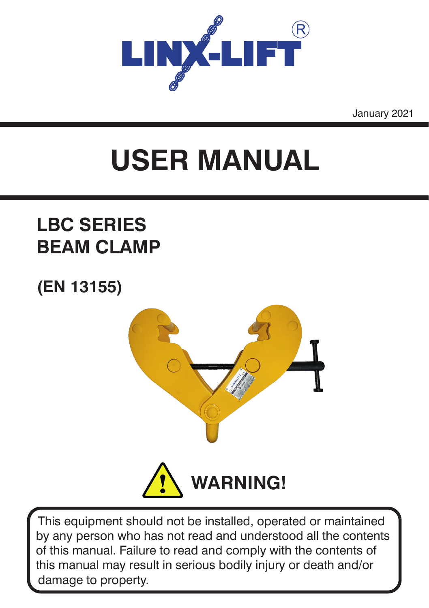

January 2021

# **USER MANUAL**

# **LBC SERIES BEAM CLAMP**

## **(EN 13155)**



This equipment should not be installed, operated or maintained by any person who has not read and understood all the contents of this manual. Failure to read and comply with the contents of this manual may result in serious bodily injury or death and/or damage to property.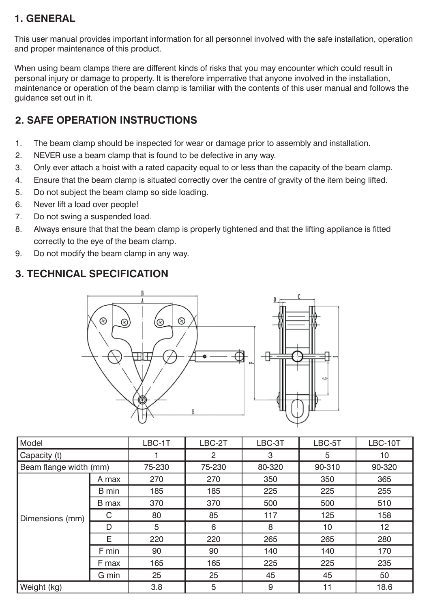## **1. GENERAL**

This user manual provides important information for all personnel involved with the safe installation, operation and proper maintenance of this product.

When using beam clamps there are different kinds of risks that you may encounter which could result in personal injury or damage to property. It is therefore imperrative that anyone involved in the installation, maintenance or operation of the beam clamp is familiar with the contents of this user manual and follows the guidance set out in it.

### **2. SAFE OPERATION INSTRUCTIONS**

- 1. The beam clamp should be inspected for wear or damage prior to assembly and installation.
- 2. NEVER use a beam clamp that is found to be defective in any way.
- 3. Only ever attach a hoist with a rated capacity equal to or less than the capacity of the beam clamp.
- 4. Ensure that the beam clamp is situated correctly over the centre of gravity of the item being lifted.
- 5. Do not subject the beam clamp so side loading.
- 6. Never lift a load over people!
- 7. Do not swing a suspended load.
- 8. Always ensure that that the beam clamp is properly tightened and that the lifting appliance is fitted correctly to the eye of the beam clamp.
- 9. Do not modify the beam clamp in any way.

#### **3. TECHNICAL SPECIFICATION**



| Model                  |       | LBC-1T | LBC-2T | LBC-3T | LBC-5T | LBC-10T |
|------------------------|-------|--------|--------|--------|--------|---------|
| Capacity (t)           |       |        | 2      | 3      | 5      | 10      |
| Beam flange width (mm) |       | 75-230 | 75-230 | 80-320 | 90-310 | 90-320  |
| Dimensions (mm)        | A max | 270    | 270    | 350    | 350    | 365     |
|                        | B min | 185    | 185    | 225    | 225    | 255     |
|                        | B max | 370    | 370    | 500    | 500    | 510     |
|                        | С     | 80     | 85     | 117    | 125    | 158     |
|                        | D     | 5      | 6      | 8      | 10     | 12      |
|                        | F     | 220    | 220    | 265    | 265    | 280     |
|                        | F min | 90     | 90     | 140    | 140    | 170     |
|                        | F max | 165    | 165    | 225    | 225    | 235     |
|                        | G min | 25     | 25     | 45     | 45     | 50      |
| Weight (kg)            |       | 3.8    | 5      | 9      | 11     | 18.6    |